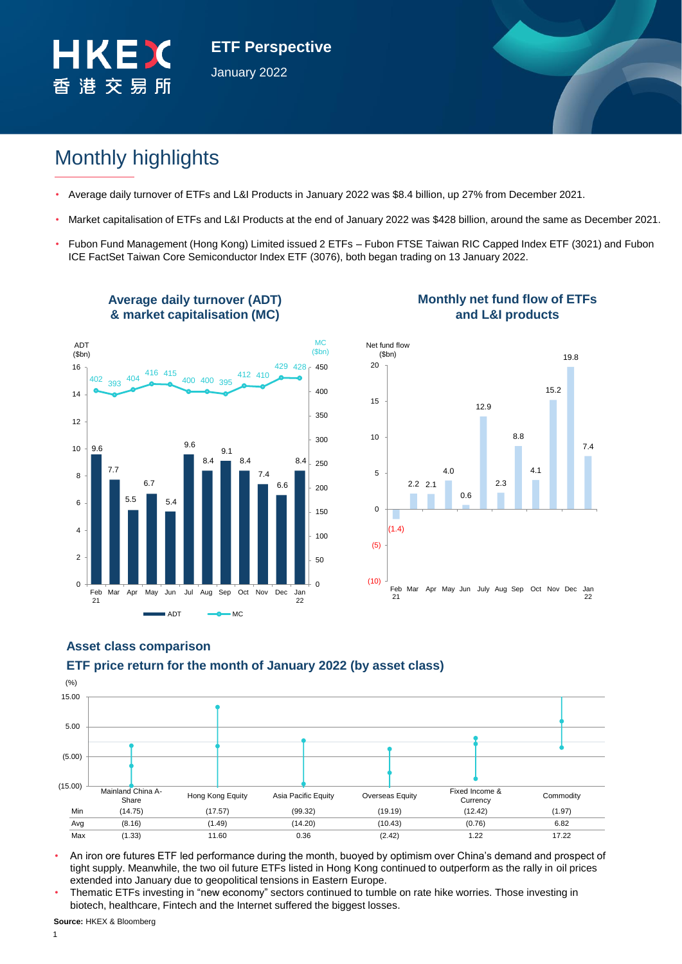

**ETF Perspective** January 2022

# Monthly highlights

- Average daily turnover of ETFs and L&I Products in January 2022 was \$8.4 billion, up 27% from December 2021.
- Market capitalisation of ETFs and L&I Products at the end of January 2022 was \$428 billion, around the same as December 2021.
- Fubon Fund Management (Hong Kong) Limited issued 2 ETFs Fubon FTSE Taiwan RIC Capped Index ETF (3021) and Fubon ICE FactSet Taiwan Core Semiconductor Index ETF (3076), both began trading on 13 January 2022.



**Average daily turnover (ADT)** 

# **Monthly net fund flow of ETFs and L&I products**



# **ETF price return for the month of January 2022 (by asset class) Asset class comparison**



- An iron ore futures ETF led performance during the month, buoyed by optimism over China's demand and prospect of tight supply. Meanwhile, the two oil future ETFs listed in Hong Kong continued to outperform as the rally in oil prices extended into January due to geopolitical tensions in Eastern Europe.
- Thematic ETFs investing in "new economy" sectors continued to tumble on rate hike worries. Those investing in biotech, healthcare, Fintech and the Internet suffered the biggest losses.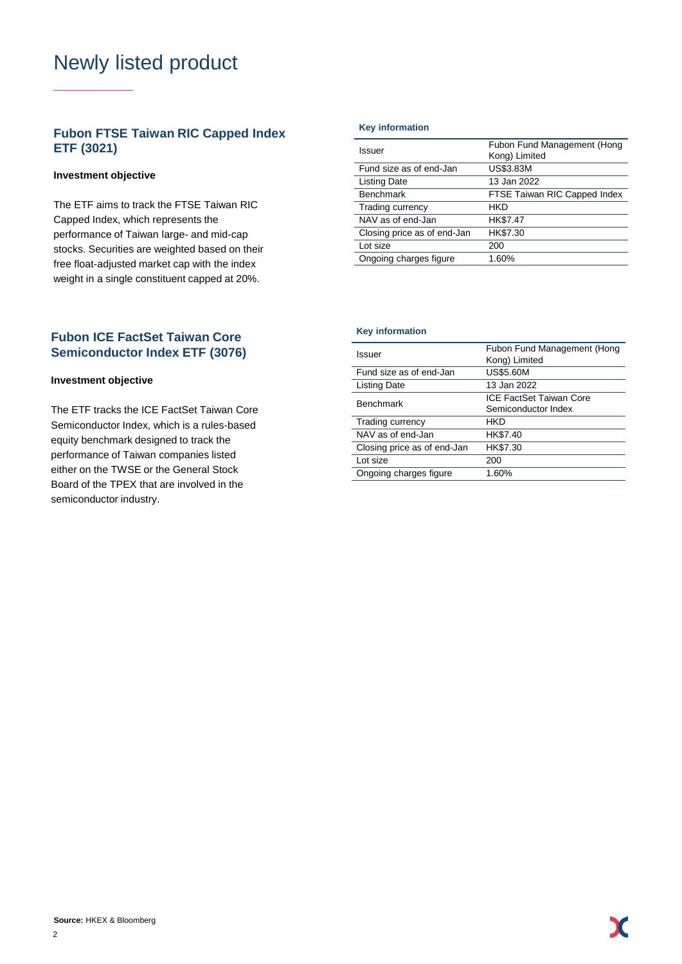# Newly listed product

# **Fubon FTSE Taiwan RIC Capped Index ETF (3021)**

### **Investment objective**

The ETF aims to track the FTSE Taiwan RIC Capped Index, which represents the performance of Taiwan large- and mid-cap stocks. Securities are weighted based on their free float-adjusted market cap with the index weight in a single constituent capped at 20%.

# **Fubon ICE FactSet Taiwan Core Semiconductor Index ETF (3076)**

### **Investment objective**

The ETF tracks the ICE FactSet Taiwan Core Semiconductor Index, which is a rules-based equity benchmark designed to track the performance of Taiwan companies listed either on the TWSE or the General Stock Board of the TPEX that are involved in the semiconductor industry.

#### **Key information**

| Issuer                      | Fubon Fund Management (Hong<br>Kong) Limited |
|-----------------------------|----------------------------------------------|
| Fund size as of end-Jan     | US\$3.83M                                    |
| <b>Listing Date</b>         | 13 Jan 2022                                  |
| <b>Benchmark</b>            | FTSE Taiwan RIC Capped Index                 |
| Trading currency            | <b>HKD</b>                                   |
| NAV as of end-Jan           | HK\$7.47                                     |
| Closing price as of end-Jan | HK\$7.30                                     |
| Lot size                    | 200                                          |
| Ongoing charges figure      | 1.60%                                        |
|                             |                                              |

#### **Key information**

| Issuer                      | Fubon Fund Management (Hong<br>Kong) Limited   |  |  |  |  |
|-----------------------------|------------------------------------------------|--|--|--|--|
| Fund size as of end-Jan     | <b>US\$5.60M</b>                               |  |  |  |  |
| <b>Listing Date</b>         | 13 Jan 2022                                    |  |  |  |  |
| <b>Benchmark</b>            | ICE FactSet Taiwan Core<br>Semiconductor Index |  |  |  |  |
| Trading currency            | HKD                                            |  |  |  |  |
| NAV as of end-Jan           | HK\$7.40                                       |  |  |  |  |
| Closing price as of end-Jan | HK\$7.30                                       |  |  |  |  |
| Lot size                    | 200                                            |  |  |  |  |
| Ongoing charges figure      | 1.60%                                          |  |  |  |  |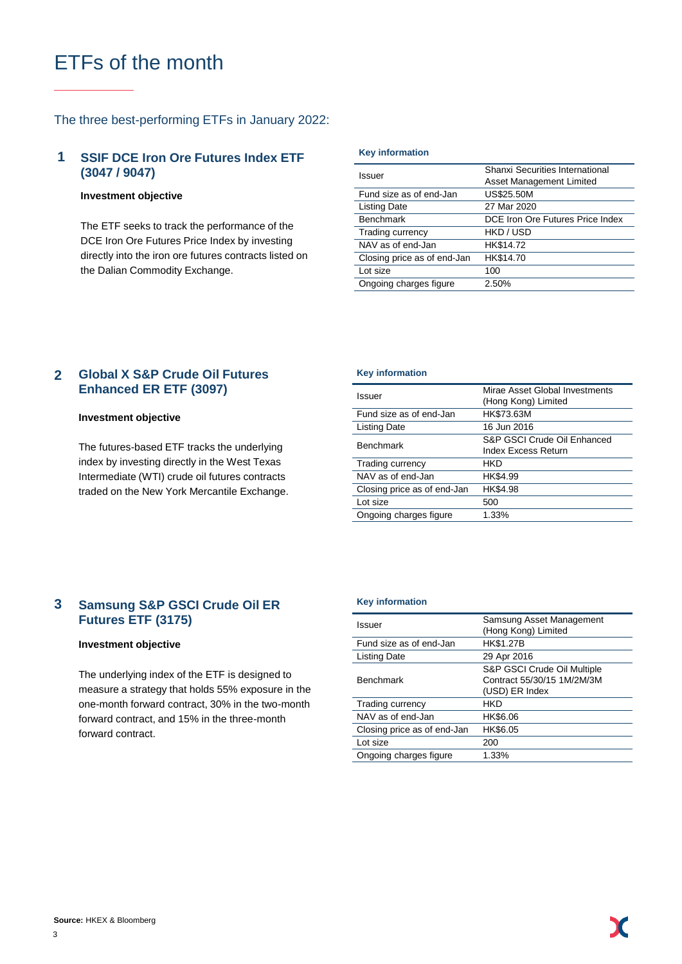# ETFs of the month

### The three best-performing ETFs in January 2022:

#### **SSIF DCE Iron Ore Futures Index ETF (3047 / 9047) 1**

#### **Investment objective**

The ETF seeks to track the performance of the DCE Iron Ore Futures Price Index by investing directly into the iron ore futures contracts listed on the Dalian Commodity Exchange.

#### **Key information**

| Issuer                      | Shanxi Securities International<br>Asset Management Limited |  |  |  |
|-----------------------------|-------------------------------------------------------------|--|--|--|
| Fund size as of end-Jan     | <b>US\$25.50M</b>                                           |  |  |  |
| <b>Listing Date</b>         | 27 Mar 2020                                                 |  |  |  |
| <b>Benchmark</b>            | DCE Iron Ore Futures Price Index                            |  |  |  |
| Trading currency            | HKD / USD                                                   |  |  |  |
| NAV as of end-Jan           | HK\$14.72                                                   |  |  |  |
| Closing price as of end-Jan | HK\$14.70                                                   |  |  |  |
| Lot size                    | 100                                                         |  |  |  |
| Ongoing charges figure      | 2.50%                                                       |  |  |  |

#### **Global X S&P Crude Oil Futures Enhanced ER ETF (3097) 2**

#### **Investment objective**

The futures-based ETF tracks the underlying index by investing directly in the West Texas Intermediate (WTI) crude oil futures contracts traded on the New York Mercantile Exchange.

#### **Key information**

| Issuer                      | Mirae Asset Global Investments<br>(Hong Kong) Limited     |  |  |  |
|-----------------------------|-----------------------------------------------------------|--|--|--|
| Fund size as of end-Jan     | HK\$73.63M                                                |  |  |  |
| <b>Listing Date</b>         | 16 Jun 2016                                               |  |  |  |
| <b>Benchmark</b>            | S&P GSCI Crude Oil Enhanced<br><b>Index Excess Return</b> |  |  |  |
| Trading currency            | HKD                                                       |  |  |  |
| NAV as of end-Jan           | HK\$4.99                                                  |  |  |  |
| Closing price as of end-Jan | HK\$4.98                                                  |  |  |  |
| Lot size                    | 500                                                       |  |  |  |
| Ongoing charges figure      | 1.33%                                                     |  |  |  |

#### **Samsung S&P GSCI Crude Oil ER Futures ETF (3175) 3**

### **Investment objective**

The underlying index of the ETF is designed to measure a strategy that holds 55% exposure in the one-month forward contract, 30% in the two-month forward contract, and 15% in the three-month forward contract.

#### **Key information**

| Issuer                      | Samsung Asset Management<br>(Hong Kong) Limited                             |
|-----------------------------|-----------------------------------------------------------------------------|
| Fund size as of end-Jan     | <b>HK\$1.27B</b>                                                            |
| <b>Listing Date</b>         | 29 Apr 2016                                                                 |
| <b>Benchmark</b>            | S&P GSCI Crude Oil Multiple<br>Contract 55/30/15 1M/2M/3M<br>(USD) ER Index |
| Trading currency            | HKD                                                                         |
| NAV as of end-Jan           | HK\$6.06                                                                    |
| Closing price as of end-Jan | HK\$6.05                                                                    |
| Lot size                    | 200                                                                         |
| Ongoing charges figure      | 1.33%                                                                       |
|                             |                                                                             |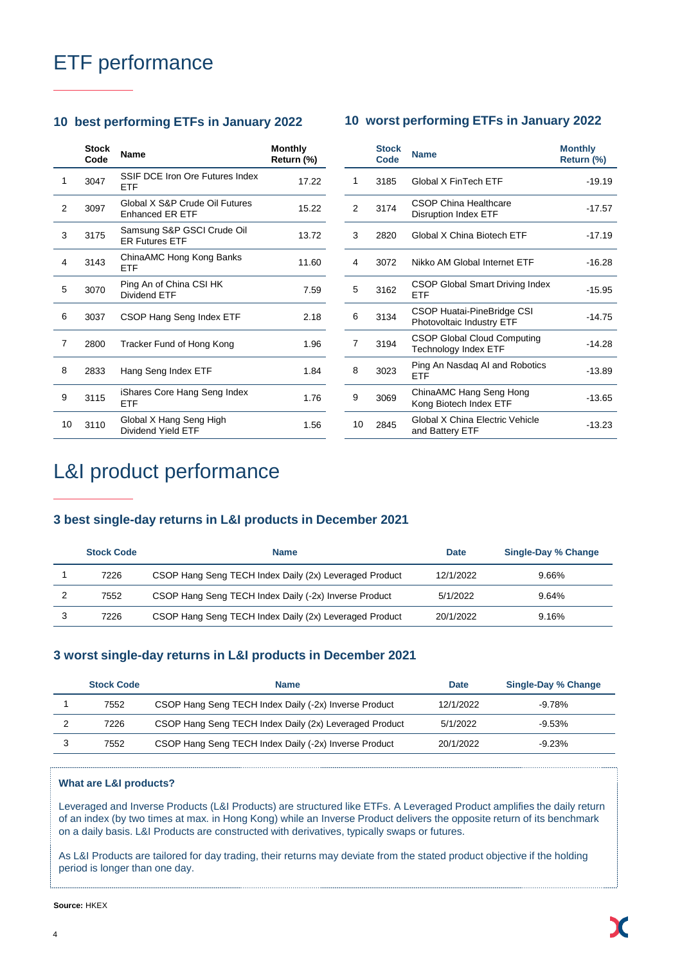# ETF performance

# **10 best performing ETFs in January 2022 10 worst performing ETFs in January 2022**

|    | <b>Stock</b><br>Code | Name                                                     | <b>Monthly</b><br>Return (%) |                | <b>Stock</b><br>Code | <b>Name</b>                     |
|----|----------------------|----------------------------------------------------------|------------------------------|----------------|----------------------|---------------------------------|
| 1  | 3047                 | SSIF DCE Iron Ore Futures Index<br>ETF                   | 17.22                        | 1              | 3185                 | Global                          |
| 2  | 3097                 | Global X S&P Crude Oil Futures<br><b>Enhanced ER ETF</b> | 15.22                        | $\overline{2}$ | 3174                 | CSOP <sub>(</sub><br>Disrupti   |
| 3  | 3175                 | Samsung S&P GSCI Crude Oil<br><b>ER Futures ETF</b>      | 13.72                        | 3              | 2820                 | Global                          |
| 4  | 3143                 | ChinaAMC Hong Kong Banks<br><b>ETF</b>                   | 11.60                        | 4              | 3072                 | Nikko A                         |
| 5  | 3070                 | Ping An of China CSI HK<br>Dividend ETF                  | 7.59                         | 5              | 3162                 | CSOP <sup>(</sup><br><b>ETF</b> |
| 6  | 3037                 | CSOP Hang Seng Index ETF                                 | 2.18                         | 6              | 3134                 | CSOP <sub>I</sub><br>Photovo    |
| 7  | 2800                 | Tracker Fund of Hong Kong                                | 1.96                         | 7              | 3194                 | CSOP <sup>(</sup><br>Techno     |
| 8  | 2833                 | Hang Seng Index ETF                                      | 1.84                         | 8              | 3023                 | Ping Ar<br>ETF                  |
| 9  | 3115                 | iShares Core Hang Seng Index<br><b>ETF</b>               | 1.76                         | 9              | 3069                 | ChinaA<br>Kong B                |
| 10 | 3110                 | Global X Hang Seng High<br>Dividend Yield ETF            | 1.56                         | 10             | 2845                 | Global<br>and Bat               |

|    | <b>Stock</b><br>Code | <b>Name</b>                                                | <b>Monthly</b><br>Return (%) |
|----|----------------------|------------------------------------------------------------|------------------------------|
| 1  | 3185                 | Global X FinTech FTF                                       | $-19.19$                     |
| 2  | 3174                 | CSOP China Healthcare<br><b>Disruption Index ETF</b>       | $-17.57$                     |
| 3  | 2820                 | Global X China Biotech ETF                                 | $-17.19$                     |
| 4  | 3072                 | Nikko AM Global Internet FTF                               | $-16.28$                     |
| 5  | 3162                 | CSOP Global Smart Driving Index<br>ETF                     | $-15.95$                     |
| 6  | 3134                 | CSOP Huatai-PineBridge CSI<br>Photovoltaic Industry ETF    | $-14.75$                     |
| 7  | 3194                 | <b>CSOP Global Cloud Computing</b><br>Technology Index ETF | $-14.28$                     |
| 8  | 3023                 | Ping An Nasdag AI and Robotics<br><b>ETF</b>               | $-13.89$                     |
| 9  | 3069                 | ChinaAMC Hang Seng Hong<br>Kong Biotech Index ETF          | $-13.65$                     |
| 10 | 2845                 | Global X China Flectric Vehicle<br>and Battery ETF         | $-13.23$                     |

# L&I product performance

### **3 best single-day returns in L&I products in December 2021**

| <b>Stock Code</b> | <b>Name</b>                                            | <b>Date</b> | Single-Day % Change |
|-------------------|--------------------------------------------------------|-------------|---------------------|
| 7226              | CSOP Hang Seng TECH Index Daily (2x) Leveraged Product | 12/1/2022   | $9.66\%$            |
| 7552              | CSOP Hang Seng TECH Index Daily (-2x) Inverse Product  | 5/1/2022    | 9.64%               |
| 7226              | CSOP Hang Seng TECH Index Daily (2x) Leveraged Product | 20/1/2022   | 9.16%               |

### **3 worst single-day returns in L&I products in December 2021**

| <b>Stock Code</b> | <b>Name</b>                                            | <b>Date</b> | Single-Day % Change |
|-------------------|--------------------------------------------------------|-------------|---------------------|
| 7552              | CSOP Hang Seng TECH Index Daily (-2x) Inverse Product  | 12/1/2022   | $-9.78\%$           |
| 7226              | CSOP Hang Seng TECH Index Daily (2x) Leveraged Product | 5/1/2022    | $-9.53\%$           |
| 7552              | CSOP Hang Seng TECH Index Daily (-2x) Inverse Product  | 20/1/2022   | $-9.23%$            |

### **What are L&I products?**

Leveraged and Inverse Products (L&I Products) are structured like ETFs. A Leveraged Product amplifies the daily return of an index (by two times at max. in Hong Kong) while an Inverse Product delivers the opposite return of its benchmark on a daily basis. L&I Products are constructed with derivatives, typically swaps or futures.

As L&I Products are tailored for day trading, their returns may deviate from the stated product objective if the holding period is longer than one day.

**Source:** HKEX